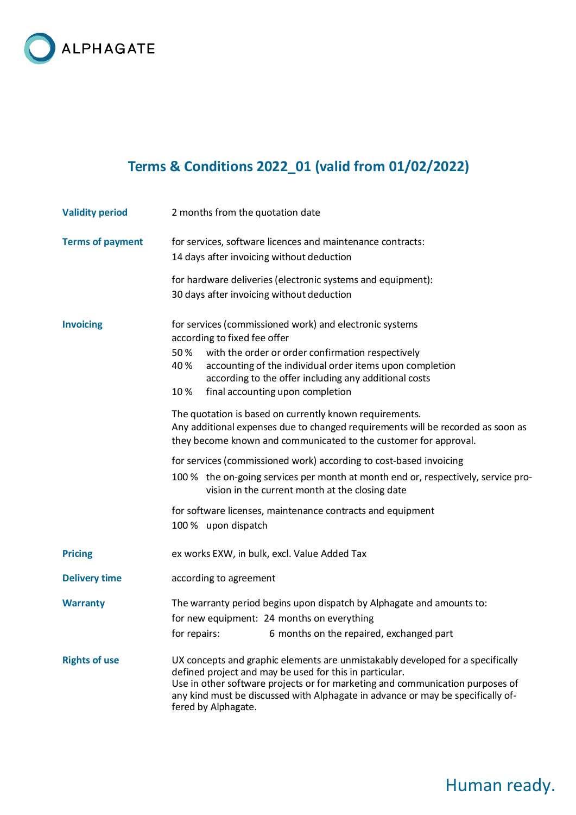

## **Terms & Conditions 2022\_01 (valid from 01/02/2022)**

| <b>Validity period</b>  | 2 months from the quotation date                                                                                                                                                                                                                                                                                                                                                                                                                                                                                                                                                                                                                                                                                                                                                                                                                |
|-------------------------|-------------------------------------------------------------------------------------------------------------------------------------------------------------------------------------------------------------------------------------------------------------------------------------------------------------------------------------------------------------------------------------------------------------------------------------------------------------------------------------------------------------------------------------------------------------------------------------------------------------------------------------------------------------------------------------------------------------------------------------------------------------------------------------------------------------------------------------------------|
| <b>Terms of payment</b> | for services, software licences and maintenance contracts:<br>14 days after invoicing without deduction                                                                                                                                                                                                                                                                                                                                                                                                                                                                                                                                                                                                                                                                                                                                         |
|                         | for hardware deliveries (electronic systems and equipment):<br>30 days after invoicing without deduction                                                                                                                                                                                                                                                                                                                                                                                                                                                                                                                                                                                                                                                                                                                                        |
| <b>Invoicing</b>        | for services (commissioned work) and electronic systems<br>according to fixed fee offer<br>with the order or order confirmation respectively<br>50%<br>accounting of the individual order items upon completion<br>40%<br>according to the offer including any additional costs<br>10%<br>final accounting upon completion<br>The quotation is based on currently known requirements.<br>Any additional expenses due to changed requirements will be recorded as soon as<br>they become known and communicated to the customer for approval.<br>for services (commissioned work) according to cost-based invoicing<br>100 % the on-going services per month at month end or, respectively, service pro-<br>vision in the current month at the closing date<br>for software licenses, maintenance contracts and equipment<br>100 % upon dispatch |
| <b>Pricing</b>          | ex works EXW, in bulk, excl. Value Added Tax                                                                                                                                                                                                                                                                                                                                                                                                                                                                                                                                                                                                                                                                                                                                                                                                    |
| <b>Delivery time</b>    | according to agreement                                                                                                                                                                                                                                                                                                                                                                                                                                                                                                                                                                                                                                                                                                                                                                                                                          |
| <b>Warranty</b>         | The warranty period begins upon dispatch by Alphagate and amounts to:<br>for new equipment: 24 months on everything<br>for repairs:<br>6 months on the repaired, exchanged part                                                                                                                                                                                                                                                                                                                                                                                                                                                                                                                                                                                                                                                                 |
| <b>Rights of use</b>    | UX concepts and graphic elements are unmistakably developed for a specifically<br>defined project and may be used for this in particular.<br>Use in other software projects or for marketing and communication purposes of<br>any kind must be discussed with Alphagate in advance or may be specifically of-<br>fered by Alphagate.                                                                                                                                                                                                                                                                                                                                                                                                                                                                                                            |